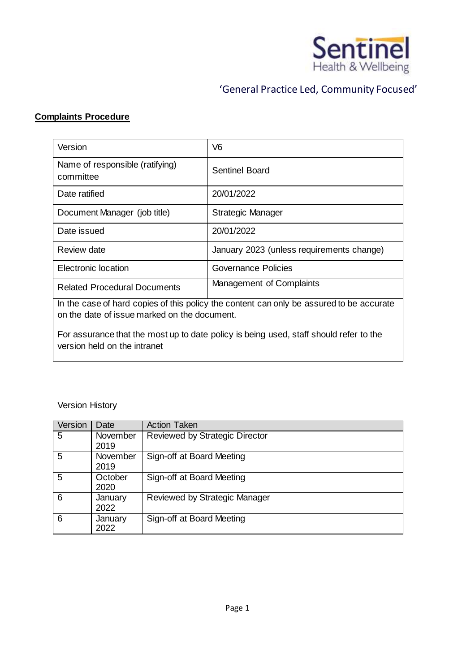

# 'General Practice Led, Community Focused'

## **Complaints Procedure**

| Version                                                                                  | V <sub>6</sub>                            |  |
|------------------------------------------------------------------------------------------|-------------------------------------------|--|
| Name of responsible (ratifying)<br>committee                                             | <b>Sentinel Board</b>                     |  |
| Date ratified                                                                            | 20/01/2022                                |  |
| Document Manager (job title)                                                             | Strategic Manager                         |  |
| Date issued                                                                              | 20/01/2022                                |  |
| Review date                                                                              | January 2023 (unless requirements change) |  |
| <b>Electronic location</b>                                                               | Governance Policies                       |  |
| <b>Related Procedural Documents</b>                                                      | Management of Complaints                  |  |
| In the case of hard copies of this policy the content can only be assured to be accurate |                                           |  |

on the date of issue marked on the document.

For assurance that the most up to date policy is being used, staff should refer to the version held on the intranet

Version History

| Version | Date             | <b>Action Taken</b>                   |
|---------|------------------|---------------------------------------|
| 5       | November<br>2019 | <b>Reviewed by Strategic Director</b> |
| 5       | November<br>2019 | Sign-off at Board Meeting             |
| 5       | October<br>2020  | Sign-off at Board Meeting             |
| 6       | January<br>2022  | Reviewed by Strategic Manager         |
| 6       | January<br>2022  | Sign-off at Board Meeting             |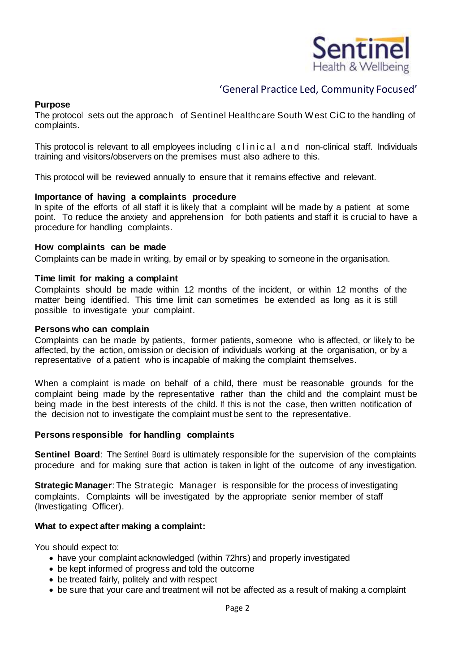

## 'General Practice Led, Community Focused'

## **Purpose**

The protocol sets out the approach of Sentinel Healthcare South West CiC to the handling of complaints.

This protocol is relevant to all employees including clinical and non-clinical staff. Individuals training and visitors/observers on the premises must also adhere to this.

This protocol will be reviewed annually to ensure that it remains effective and relevant.

### **Importance of having a complaints procedure**

In spite of the efforts of all staff it is likely that a complaint will be made by a patient at some point. To reduce the anxiety and apprehension for both patients and staff it is crucial to have a procedure for handling complaints.

### **How complaints can be made**

Complaints can be made in writing, by email or by speaking to someone in the organisation.

### **Time limit for making a complaint**

Complaints should be made within 12 months of the incident, or within 12 months of the matter being identified. This time limit can sometimes be extended as long as it is still possible to investigate your complaint.

#### **Persons who can complain**

Complaints can be made by patients, former patients, someone who is affected, or likely to be affected, by the action, omission or decision of individuals working at the organisation, or by a representative of a patient who is incapable of making the complaint themselves.

When a complaint is made on behalf of a child, there must be reasonable grounds for the complaint being made by the representative rather than the child and the complaint must be being made in the best interests of the child. If this is not the case, then written notification of the decision not to investigate the complaint must be sent to the representative.

#### **Persons responsible for handling complaints**

**Sentinel Board**: The Sentinel Board is ultimately responsible for the supervision of the complaints procedure and for making sure that action is taken in light of the outcome of any investigation.

**Strategic Manager**: The Strategic Manager is responsible for the process of investigating complaints. Complaints will be investigated by the appropriate senior member of staff (Investigating Officer).

#### **What to expect after making a complaint:**

You should expect to:

- have your complaint acknowledged (within 72hrs) and properly investigated
- be kept informed of progress and told the outcome
- be treated fairly, politely and with respect
- be sure that your care and treatment will not be affected as a result of making a complaint